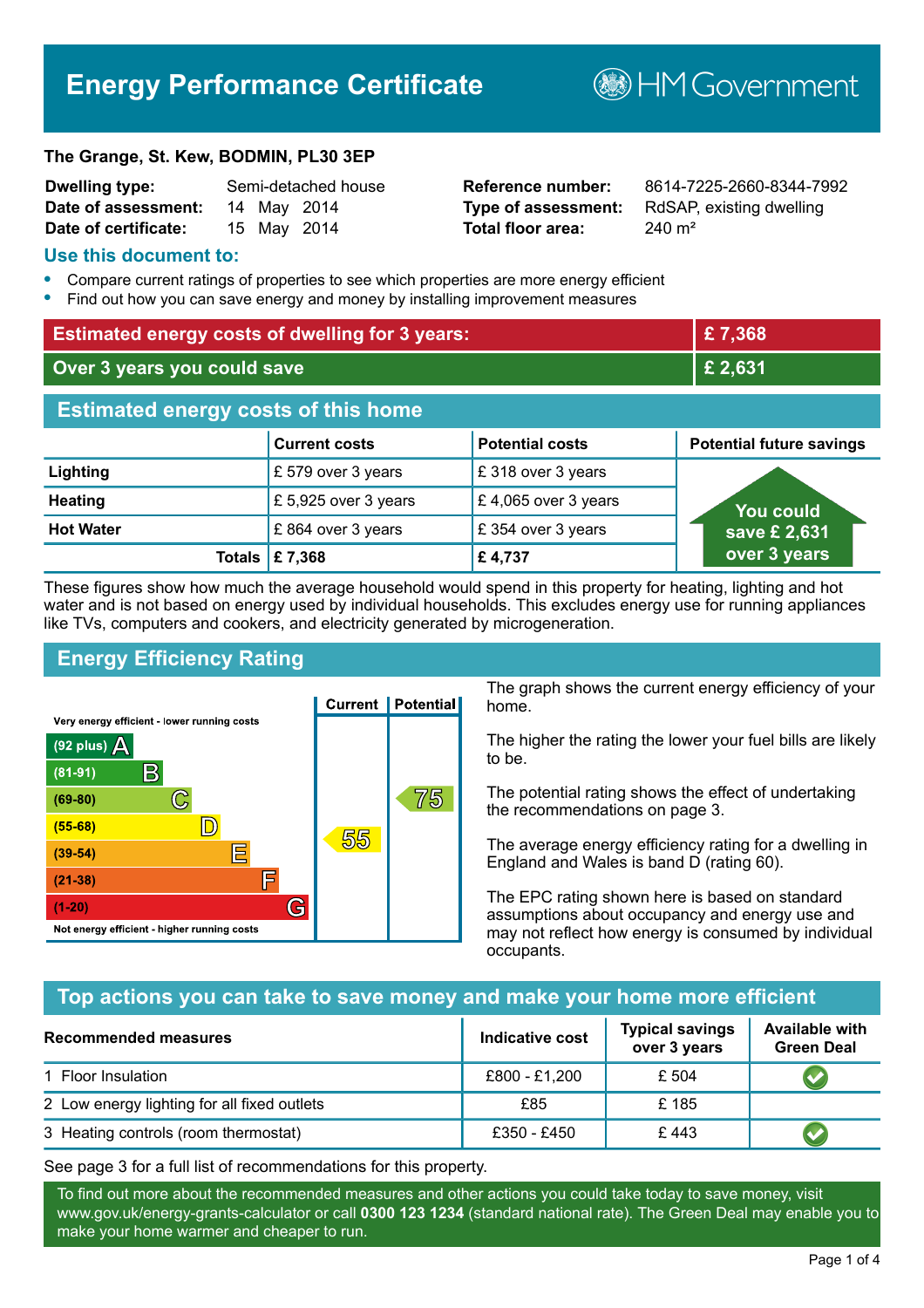# **Energy Performance Certificate**

#### **The Grange, St. Kew, BODMIN, PL30 3EP**

| <b>Dwelling type:</b> | Semi-detached house |  |             |
|-----------------------|---------------------|--|-------------|
| Date of assessment:   |                     |  | 14 May 2014 |
| Date of certificate:  |                     |  | 15 May 2014 |

# **Total floor area:** 240 m<sup>2</sup>

**Dwelling type:** Semi-detached house **Reference number:** 8614-7225-2660-8344-7992 **Type of assessment:** RdSAP, existing dwelling

**MGovernment** 

#### **Use this document to:**

- **•** Compare current ratings of properties to see which properties are more energy efficient
- **•** Find out how you can save energy and money by installing improvement measures

| <b>Estimated energy costs of dwelling for 3 years:</b> |                           |                        | £7,368                          |
|--------------------------------------------------------|---------------------------|------------------------|---------------------------------|
| Over 3 years you could save                            |                           | £ 2,631                |                                 |
| <b>Estimated energy costs of this home</b>             |                           |                        |                                 |
|                                                        | <b>Current costs</b>      | <b>Potential costs</b> | <b>Potential future savings</b> |
| Lighting                                               | £ 579 over 3 years        | £318 over 3 years      |                                 |
| <b>Heating</b>                                         | £5,925 over 3 years       | £4,065 over 3 years    | <b>You could</b>                |
| <b>Hot Water</b>                                       | £864 over 3 years         | £354 over 3 years      | save £ 2,631                    |
|                                                        | Totals $\mathsf{E}$ 7,368 | £4,737                 | over 3 years                    |

These figures show how much the average household would spend in this property for heating, lighting and hot water and is not based on energy used by individual households. This excludes energy use for running appliances like TVs, computers and cookers, and electricity generated by microgeneration.

# **Energy Efficiency Rating**



The graph shows the current energy efficiency of your home.

The higher the rating the lower your fuel bills are likely to be.

The potential rating shows the effect of undertaking the recommendations on page 3.

The average energy efficiency rating for a dwelling in England and Wales is band D (rating 60).

The EPC rating shown here is based on standard assumptions about occupancy and energy use and may not reflect how energy is consumed by individual occupants.

# **Top actions you can take to save money and make your home more efficient**

| <b>Recommended measures</b>                 | Indicative cost | <b>Typical savings</b><br>over 3 years | <b>Available with</b><br><b>Green Deal</b> |
|---------------------------------------------|-----------------|----------------------------------------|--------------------------------------------|
| 1 Floor Insulation                          | £800 - £1,200   | £ 504                                  |                                            |
| 2 Low energy lighting for all fixed outlets | £85             | £185                                   |                                            |
| 3 Heating controls (room thermostat)        | £350 - £450     | £443                                   |                                            |

See page 3 for a full list of recommendations for this property.

To find out more about the recommended measures and other actions you could take today to save money, visit www.gov.uk/energy-grants-calculator or call **0300 123 1234** (standard national rate). The Green Deal may enable you to make your home warmer and cheaper to run.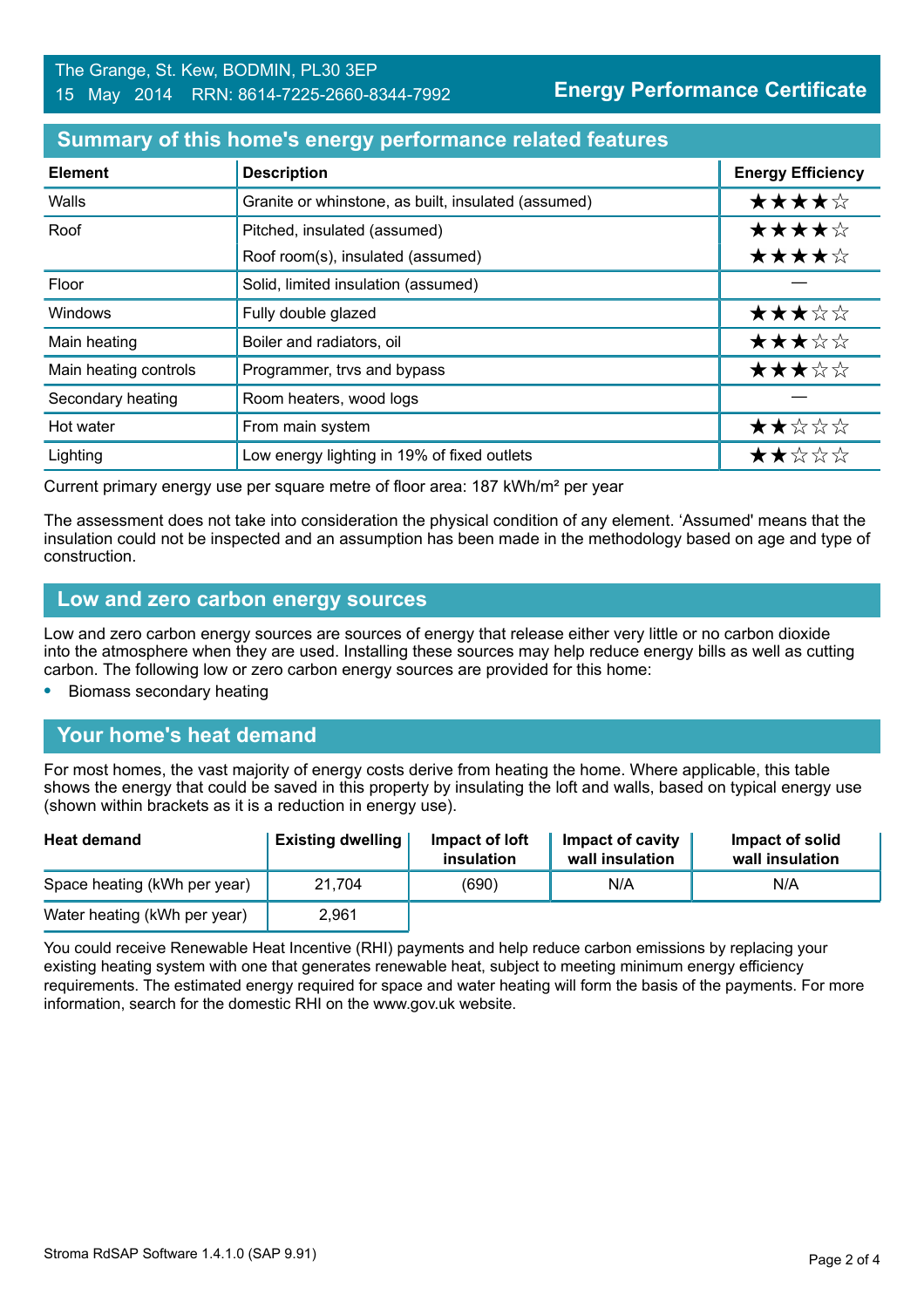#### **Summary of this home's energy performance related features**

| <b>Element</b>        | <b>Description</b>                                  | <b>Energy Efficiency</b> |
|-----------------------|-----------------------------------------------------|--------------------------|
| Walls                 | Granite or whinstone, as built, insulated (assumed) | ★★★★☆                    |
| Roof                  | Pitched, insulated (assumed)                        | ★★★★☆                    |
|                       | Roof room(s), insulated (assumed)                   | ★★★★☆                    |
| Floor                 | Solid, limited insulation (assumed)                 |                          |
| Windows               | Fully double glazed                                 | ★★★☆☆                    |
| Main heating          | Boiler and radiators, oil                           | ★★★☆☆                    |
| Main heating controls | Programmer, trvs and bypass                         | ★★★☆☆                    |
| Secondary heating     | Room heaters, wood logs                             |                          |
| Hot water             | From main system                                    | ★★☆☆☆                    |
| Lighting              | Low energy lighting in 19% of fixed outlets         | ★★☆☆☆                    |

Current primary energy use per square metre of floor area: 187 kWh/m² per year

The assessment does not take into consideration the physical condition of any element. 'Assumed' means that the insulation could not be inspected and an assumption has been made in the methodology based on age and type of construction.

#### **Low and zero carbon energy sources**

Low and zero carbon energy sources are sources of energy that release either very little or no carbon dioxide into the atmosphere when they are used. Installing these sources may help reduce energy bills as well as cutting carbon. The following low or zero carbon energy sources are provided for this home:

**•** Biomass secondary heating

# **Your home's heat demand**

For most homes, the vast majority of energy costs derive from heating the home. Where applicable, this table shows the energy that could be saved in this property by insulating the loft and walls, based on typical energy use (shown within brackets as it is a reduction in energy use).

| <b>Heat demand</b>           | <b>Existing dwelling</b> | Impact of loft<br>insulation | Impact of cavity<br>wall insulation | Impact of solid<br>wall insulation |
|------------------------------|--------------------------|------------------------------|-------------------------------------|------------------------------------|
| Space heating (kWh per year) | 21,704                   | (690)                        | N/A                                 | N/A                                |
| Water heating (kWh per year) | 2,961                    |                              |                                     |                                    |

You could receive Renewable Heat Incentive (RHI) payments and help reduce carbon emissions by replacing your existing heating system with one that generates renewable heat, subject to meeting minimum energy efficiency requirements. The estimated energy required for space and water heating will form the basis of the payments. For more information, search for the domestic RHI on the www.gov.uk website.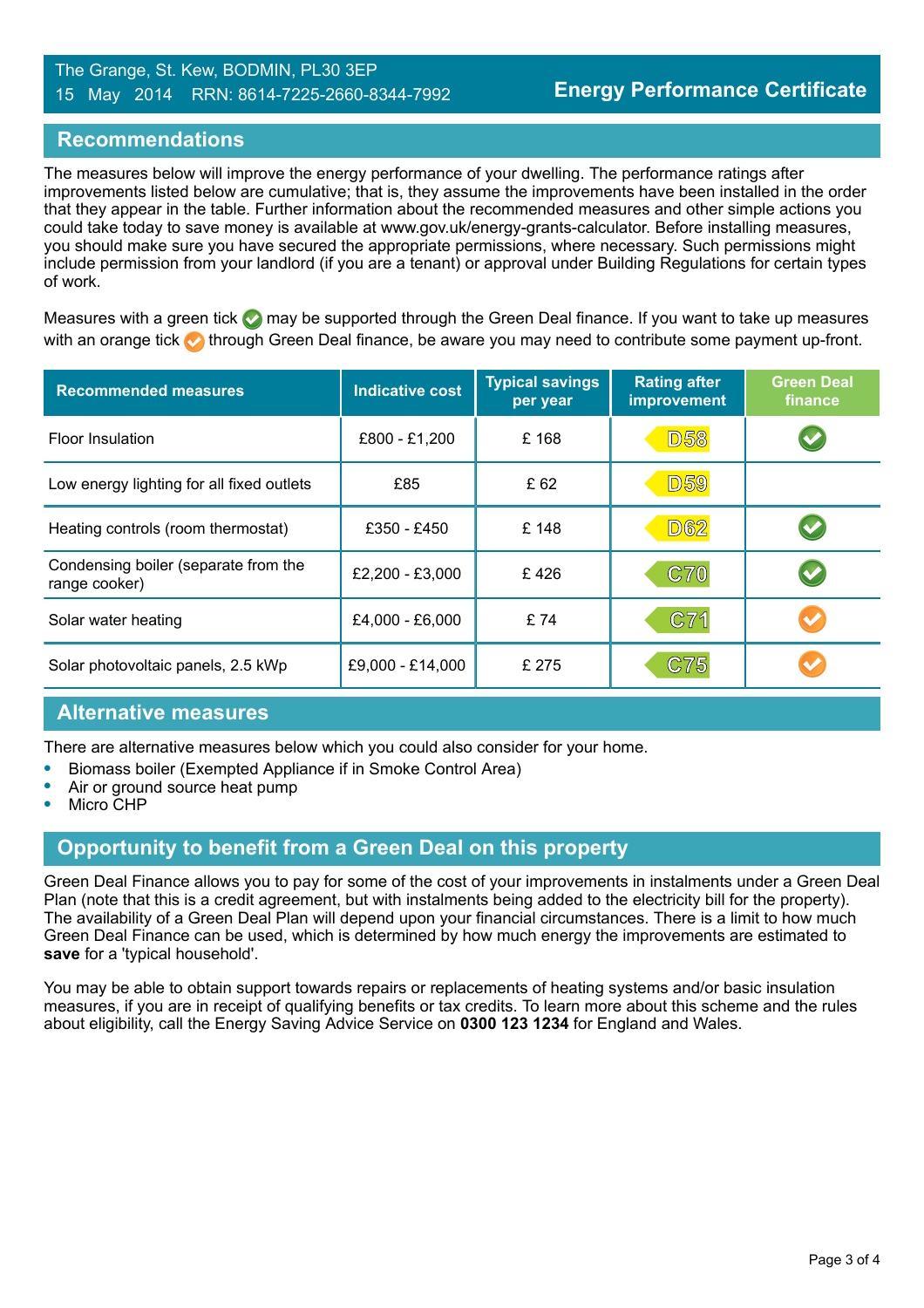#### The Grange, St. Kew, BODMIN, PL30 3EP 15 May 2014 RRN: 8614-7225-2660-8344-7992

### **Recommendations**

The measures below will improve the energy performance of your dwelling. The performance ratings after improvements listed below are cumulative; that is, they assume the improvements have been installed in the order that they appear in the table. Further information about the recommended measures and other simple actions you could take today to save money is available at www.gov.uk/energy-grants-calculator. Before installing measures, you should make sure you have secured the appropriate permissions, where necessary. Such permissions might include permission from your landlord (if you are a tenant) or approval under Building Regulations for certain types of work.

Measures with a green tick  $\bullet$  may be supported through the Green Deal finance. If you want to take up measures with an orange tick **th** through Green Deal finance, be aware you may need to contribute some payment up-front.

| <b>Recommended measures</b>                           | <b>Indicative cost</b> | <b>Typical savings</b><br>per year | <b>Rating after</b><br><b>improvement</b> | <b>Green Deal</b><br>finance |
|-------------------------------------------------------|------------------------|------------------------------------|-------------------------------------------|------------------------------|
| <b>Floor Insulation</b>                               | £800 - £1,200          | £168                               | <b>D58</b>                                | $\blacktriangledown$         |
| Low energy lighting for all fixed outlets             | £85                    | £ 62                               | <b>D59</b>                                |                              |
| Heating controls (room thermostat)                    | £350 - £450            | £148                               | <b>D62</b>                                | $\blacktriangledown$         |
| Condensing boiler (separate from the<br>range cooker) | £2,200 - £3,000        | £426                               | <b>C70</b>                                | $\blacktriangledown$         |
| Solar water heating                                   | £4,000 - £6,000        | £74                                | C71                                       | $\blacktriangledown$         |
| Solar photovoltaic panels, 2.5 kWp                    | £9,000 - £14,000       | £ 275                              | C75                                       |                              |

# **Alternative measures**

There are alternative measures below which you could also consider for your home.

- **•** Biomass boiler (Exempted Appliance if in Smoke Control Area)
- **•** Air or ground source heat pump
- **•** Micro CHP

# **Opportunity to benefit from a Green Deal on this property**

Green Deal Finance allows you to pay for some of the cost of your improvements in instalments under a Green Deal Plan (note that this is a credit agreement, but with instalments being added to the electricity bill for the property). The availability of a Green Deal Plan will depend upon your financial circumstances. There is a limit to how much Green Deal Finance can be used, which is determined by how much energy the improvements are estimated to **save** for a 'typical household'.

You may be able to obtain support towards repairs or replacements of heating systems and/or basic insulation measures, if you are in receipt of qualifying benefits or tax credits. To learn more about this scheme and the rules about eligibility, call the Energy Saving Advice Service on **0300 123 1234** for England and Wales.